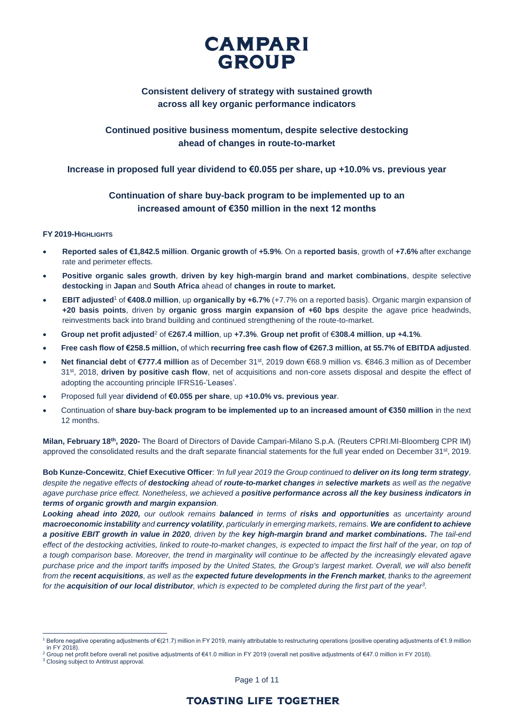

## **Consistent delivery of strategy with sustained growth across all key organic performance indicators**

# **Continued positive business momentum, despite selective destocking ahead of changes in route-to-market**

## **Increase in proposed full year dividend to €0.055 per share, up +10.0% vs. previous year**

## **Continuation of share buy-back program to be implemented up to an increased amount of €350 million in the next 12 months**

### **FY 2019-HIGHLIGHTS**

- **Reported sales of €1,842.5 million**. **Organic growth** of **+5.9%**. On a **reported basis**, growth of **+7.6%** after exchange rate and perimeter effects.
- **Positive organic sales growth**, **driven by key high-margin brand and market combinations**, despite selective **destocking** in **Japan** and **South Africa** ahead of **changes in route to market.**
- **EBIT adjusted**<sup>1</sup> of **€408.0 million**, up **organically by +6.7%** (+7.7% on a reported basis). Organic margin expansion of **+20 basis points**, driven by **organic gross margin expansion of +60 bps** despite the agave price headwinds, reinvestments back into brand building and continued strengthening of the route-to-market.
- **Group net profit adjusted**<sup>2</sup> of €**267.4 million**, up **+7.3%**. **Group net profit** of €**308.4 million**, **up +4.1%**.
- **Free cash flow of €258.5 million,** of which **recurring free cash flow of €267.3 million, at 55.7% of EBITDA adjusted**.
- Net financial debt of €777.4 million as of December 31<sup>st</sup>, 2019 down €68.9 million vs. €846.3 million as of December 31<sup>st</sup>, 2018, **driven by positive cash flow**, net of acquisitions and non-core assets disposal and despite the effect of adopting the accounting principle IFRS16-'Leases'.
- Proposed full year **dividend** of **€0.055 per share**, up **+10.0% vs. previous year**.
- Continuation of **share buy-back program to be implemented up to an increased amount of €350 million** in the next 12 months.

**Milan, February 18th, 2020-** The Board of Directors of Davide Campari-Milano S.p.A. (Reuters CPRI.MI-Bloomberg CPR IM) approved the consolidated results and the draft separate financial statements for the full year ended on December 31<sup>st</sup>, 2019.

**Bob Kunze-Concewitz**, **Chief Executive Officer**: *'In full year 2019 the Group continued to deliver on its long term strategy, despite the negative effects of destocking ahead of route-to-market changes in selective markets as well as the negative agave purchase price effect. Nonetheless, we achieved a positive performance across all the key business indicators in terms of organic growth and margin expansion.* 

*Looking ahead into 2020, our outlook remains balanced in terms of risks and opportunities as uncertainty around macroeconomic instability and currency volatility, particularly in emerging markets, remains. We are confident to achieve a positive EBIT growth in value in 2020, driven by the key high-margin brand and market combinations. The tail-end*  effect of the destocking activities, linked to route-to-market changes, is expected to impact the first half of the year, on top of a tough comparison base. Moreover, the trend in marginality will continue to be affected by the increasingly elevated agave *purchase price and the import tariffs imposed by the United States, the Group's largest market. Overall, we will also benefit from the recent acquisitions, as well as the expected future developments in the French market, thanks to the agreement for the acquisition of our local distributor, which is expected to be completed during the first part of the year<sup>3</sup> .*

 $\overline{a}$ <sup>1</sup> Before negative operating adjustments of €(21.7) million in FY 2019, mainly attributable to restructuring operations (positive operating adjustments of €1.9 million in FY 2018).

<sup>&</sup>lt;sup>2</sup> Group net profit before overall net positive adjustments of €41.0 million in FY 2019 (overall net positive adjustments of €47.0 million in FY 2018).

<sup>&</sup>lt;sup>3</sup> Closing subject to Antitrust approval.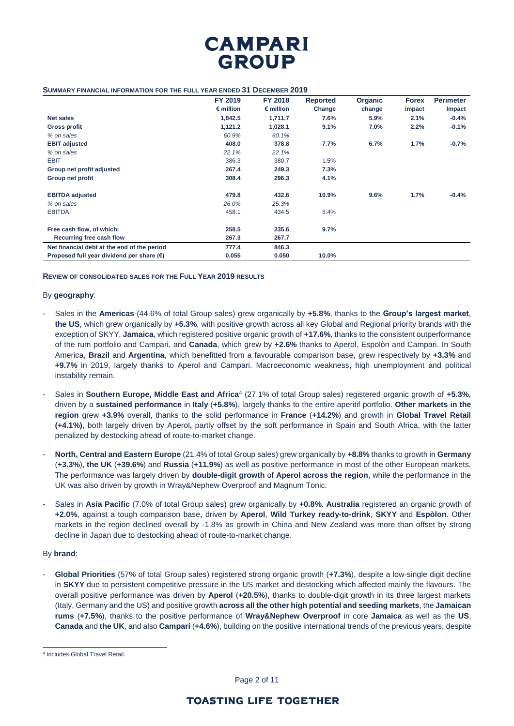

#### **SUMMARY FINANCIAL INFORMATION FOR THE FULL YEAR ENDED 31 DECEMBER 2019**

|                                                    | FY 2019            | FY 2018            | <b>Reported</b> | Organic | <b>Forex</b> | <b>Perimeter</b> |
|----------------------------------------------------|--------------------|--------------------|-----------------|---------|--------------|------------------|
|                                                    | $\epsilon$ million | $\epsilon$ million | Change          | change  | impact       | Impact           |
| <b>Net sales</b>                                   | 1,842.5            | 1,711.7            | 7.6%            | 5.9%    | 2.1%         | $-0.4%$          |
| <b>Gross profit</b>                                | 1,121.2            | 1,028.1            | 9.1%            | 7.0%    | 2.2%         | $-0.1%$          |
| % on sales                                         | 60.9%              | 60.1%              |                 |         |              |                  |
| <b>EBIT adjusted</b>                               | 408.0              | 378.8              | 7.7%            | 6.7%    | 1.7%         | $-0.7%$          |
| % on sales                                         | 22.1%              | 22.1%              |                 |         |              |                  |
| <b>EBIT</b>                                        | 386.3              | 380.7              | 1.5%            |         |              |                  |
| Group net profit adjusted                          | 267.4              | 249.3              | 7.3%            |         |              |                  |
| Group net profit                                   | 308.4              | 296.3              | 4.1%            |         |              |                  |
| <b>EBITDA</b> adjusted                             | 479.8              | 432.6              | 10.9%           | 9.6%    | 1.7%         | $-0.4%$          |
| % on sales                                         | 26.0%              | 25.3%              |                 |         |              |                  |
| <b>EBITDA</b>                                      | 458.1              | 434.5              | 5.4%            |         |              |                  |
| Free cash flow, of which:                          | 258.5              | 235.6              | 9.7%            |         |              |                  |
| Recurring free cash flow                           | 267.3              | 267.7              |                 |         |              |                  |
| Net financial debt at the end of the period        | 777.4              | 846.3              |                 |         |              |                  |
| Proposed full year dividend per share $(\epsilon)$ | 0.055              | 0.050              | 10.0%           |         |              |                  |

**REVIEW OF CONSOLIDATED SALES FOR THE FULL YEAR 2019 RESULTS**

#### By **geography**:

- Sales in the **Americas** (44.6% of total Group sales) grew organically by **+5.8%**, thanks to the **Group's largest market**, **the US**, which grew organically by **+5.3%**, with positive growth across all key Global and Regional priority brands with the exception of SKYY, **Jamaica**, which registered positive organic growth of **+17.6%**, thanks to the consistent outperformance of the rum portfolio and Campari, and **Canada**, which grew by **+2.6%** thanks to Aperol, Espolòn and Campari. In South America, **Brazil** and **Argentina**, which benefitted from a favourable comparison base, grew respectively by **+3.3%** and **+9.7%** in 2019, largely thanks to Aperol and Campari. Macroeconomic weakness, high unemployment and political instability remain.
- Sales in **Southern Europe, Middle East and Africa**<sup>4</sup> (27.1% of total Group sales) registered organic growth of **+5.3%**, driven by a **sustained performance** in **Italy** (**+5.8%**), largely thanks to the entire aperitif portfolio. **Other markets in the region** grew **+3.9%** overall, thanks to the solid performance in **France** (**+14.2%**) and growth in **Global Travel Retail (+4.1%)**, both largely driven by Aperol**,** partly offset by the soft performance in Spain and South Africa, with the latter penalized by destocking ahead of route-to-market change.
- **North, Central and Eastern Europe** (21.4% of total Group sales) grew organically by **+8.8%** thanks to growth in **Germany**  (**+3.3%**), **the UK** (**+39.6%**) and **Russia** (**+11.9%**) as well as positive performance in most of the other European markets. The performance was largely driven by **double-digit growth** of **Aperol across the region**, while the performance in the UK was also driven by growth in Wray&Nephew Overproof and Magnum Tonic.
- Sales in **Asia Pacific** (7.0% of total Group sales) grew organically by **+0.8%**. **Australia** registered an organic growth of **+2.0%**, against a tough comparison base, driven by **Aperol**, **Wild Turkey ready-to-drink**, **SKYY** and **Espòlon**. Other markets in the region declined overall by -1.8% as growth in China and New Zealand was more than offset by strong decline in Japan due to destocking ahead of route-to-market change.

### By **brand**:

 $\overline{a}$ 

- **Global Priorities** (57% of total Group sales) registered strong organic growth (**+7.3%**), despite a low-single digit decline in **SKYY** due to persistent competitive pressure in the US market and destocking which affected mainly the flavours. The overall positive performance was driven by **Aperol** (**+20.5%**), thanks to double-digit growth in its three largest markets (Italy, Germany and the US) and positive growth **across all the other high potential and seeding markets**, the **Jamaican rums** (**+7.5%**), thanks to the positive performance of **Wray&Nephew Overproof** in core **Jamaica** as well as the **US**, **Canada** and **the UK**, and also **Campari** (**+4.6%**), building on the positive international trends of the previous years, despite

Page 2 of 11

<sup>4</sup> Includes Global Travel Retail.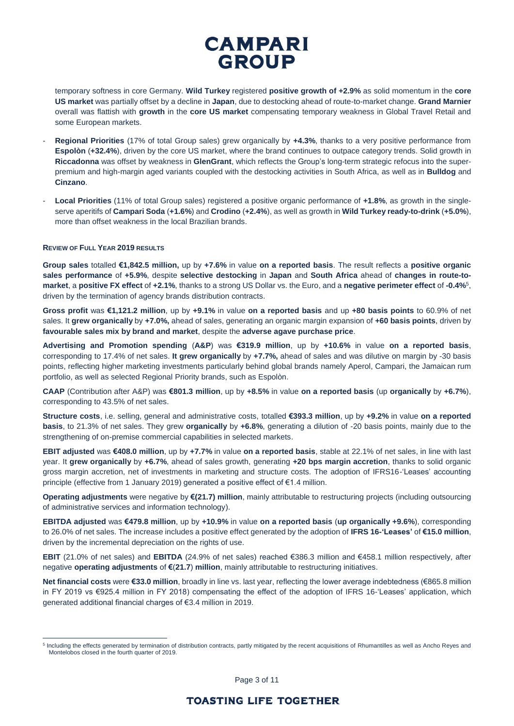temporary softness in core Germany. **Wild Turkey** registered **positive growth of +2.9%** as solid momentum in the **core US market** was partially offset by a decline in **Japan**, due to destocking ahead of route-to-market change. **Grand Marnier** overall was flattish with **growth** in the **core US market** compensating temporary weakness in Global Travel Retail and some European markets.

- **Regional Priorities** (17% of total Group sales) grew organically by **+4.3%**, thanks to a very positive performance from **Espolòn** (**+32.4%**), driven by the core US market, where the brand continues to outpace category trends. Solid growth in **Riccadonna** was offset by weakness in **GlenGrant**, which reflects the Group's long-term strategic refocus into the superpremium and high-margin aged variants coupled with the destocking activities in South Africa, as well as in **Bulldog** and **Cinzano**.
- **Local Priorities** (11% of total Group sales) registered a positive organic performance of **+1.8%**, as growth in the singleserve aperitifs of **Campari Soda** (**+1.6%**) and **Crodino** (**+2.4%**), as well as growth in **Wild Turkey ready-to-drink** (**+5.0%**), more than offset weakness in the local Brazilian brands.

#### **REVIEW OF FULL YEAR 2019 RESULTS**

 $\overline{a}$ 

**Group sales** totalled **€1,842.5 million,** up by **+7.6%** in value **on a reported basis**. The result reflects a **positive organic sales performance** of **+5.9%**, despite **selective destocking** in **Japan** and **South Africa** ahead of **changes in route-tomarket**, a **positive FX effect** of **+2.1%**, thanks to a strong US Dollar vs. the Euro, and a **negative perimeter effect** of **-0.4%**<sup>5</sup> , driven by the termination of agency brands distribution contracts.

**Gross profit** was **€1,121.2 million**, up by **+9.1%** in value **on a reported basis** and up **+80 basis points** to 60.9% of net sales. It **grew organically** by **+7.0%,** ahead of sales, generating an organic margin expansion of **+60 basis points**, driven by **favourable sales mix by brand and market**, despite the **adverse agave purchase price**.

**Advertising and Promotion spending** (**A&P**) was **€319.9 million**, up by **+10.6%** in value **on a reported basis**, corresponding to 17.4% of net sales. **It grew organically** by **+7.7%,** ahead of sales and was dilutive on margin by -30 basis points, reflecting higher marketing investments particularly behind global brands namely Aperol, Campari, the Jamaican rum portfolio, as well as selected Regional Priority brands, such as Espolòn.

**CAAP** (Contribution after A&P) was **€801.3 million**, up by **+8.5%** in value **on a reported basis** (up **organically** by **+6.7%**), corresponding to 43.5% of net sales.

**Structure costs**, i.e. selling, general and administrative costs, totalled **€393.3 million**, up by **+9.2%** in value **on a reported basis**, to 21.3% of net sales. They grew **organically** by **+6.8%**, generating a dilution of -20 basis points, mainly due to the strengthening of on-premise commercial capabilities in selected markets.

**EBIT adjusted** was **€408.0 million**, up by **+7.7%** in value **on a reported basis**, stable at 22.1% of net sales, in line with last year. It **grew organically** by **+6.7%**, ahead of sales growth, generating **+20 bps margin accretion**, thanks to solid organic gross margin accretion, net of investments in marketing and structure costs. The adoption of IFRS16-'Leases' accounting principle (effective from 1 January 2019) generated a positive effect of €1.4 million.

**Operating adjustments** were negative by **€(21.7) million**, mainly attributable to restructuring projects (including outsourcing of administrative services and information technology).

**EBITDA adjusted** was **€479.8 million**, up by **+10.9%** in value **on a reported basis** (**up organically +9.6%**), corresponding to 26.0% of net sales. The increase includes a positive effect generated by the adoption of **IFRS 16-'Leases'** of **€15.0 million**, driven by the incremental depreciation on the rights of use.

**EBIT** (21.0% of net sales) and **EBITDA** (24.9% of net sales) reached €386.3 million and €458.1 million respectively, after negative **operating adjustments** of **€**(**21.7**) **million**, mainly attributable to restructuring initiatives.

**Net financial costs** were **€33.0 million**, broadly in line vs. last year, reflecting the lower average indebtedness (€865.8 million in FY 2019 vs €925.4 million in FY 2018) compensating the effect of the adoption of IFRS 16-'Leases' application, which generated additional financial charges of €3.4 million in 2019.

Page 3 of 11

<sup>&</sup>lt;sup>5</sup> Including the effects generated by termination of distribution contracts, partly mitigated by the recent acquisitions of Rhumantilles as well as Ancho Reyes and Montelobos closed in the fourth quarter of 2019.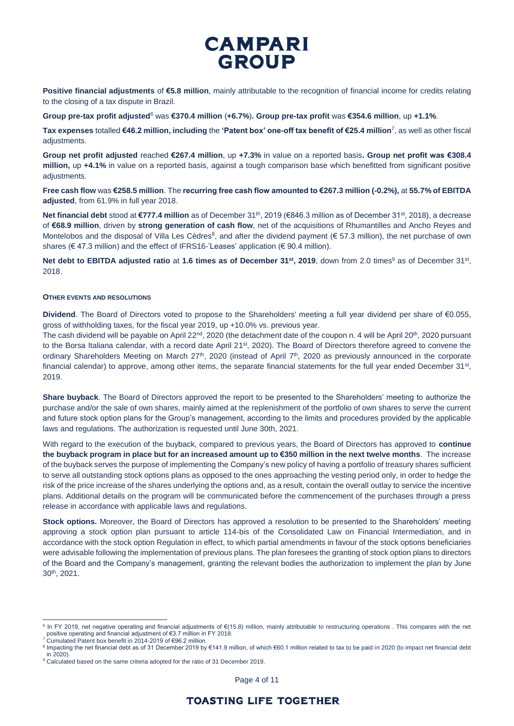**Positive financial adjustments** of **€5.8 million**, mainly attributable to the recognition of financial income for credits relating to the closing of a tax dispute in Brazil.

**Group pre-tax profit adjusted**<sup>6</sup> was **€370.4 million** (**+6.7%**)**. Group pre-tax profit** was **€354.6 million**, up **+1.1%**.

**Tax expenses** totalled **€46.2 million, including** the **'Patent box' one-off tax benefit of €25.4 million**<sup>7</sup> , as well as other fiscal adiustments.

**Group net profit adjusted** reached **€267.4 million**, up **+7.3%** in value on a reported basis**. Group net profit was €308.4 million,** up **+4.1%** in value on a reported basis, against a tough comparison base which benefitted from significant positive adiustments.

**Free cash flow** was **€258.5 million**. The **recurring free cash flow amounted to €267.3 million (-0.2%),** at **55.7% of EBITDA adjusted**, from 61.9% in full year 2018.

**Net financial debt** stood at €777.4 million as of December 31<sup>th</sup>, 2019 (€846.3 million as of December 31st, 2018), a decrease of **€68.9 million**, driven by **strong generation of cash flow**, net of the acquisitions of Rhumantilles and Ancho Reyes and Montelobos and the disposal of Villa Les Cèdres<sup>8</sup>, and after the dividend payment (€ 57.3 million), the net purchase of own shares ( $\in$  47.3 million) and the effect of IFRS16-'Leases' application ( $\in$  90.4 million).

**Net debt to EBITDA adjusted ratio** at 1.6 times as of December 31st, 2019, down from 2.0 times<sup>9</sup> as of December 31st, 2018.

#### **OTHER EVENTS AND RESOLUTIONS**

**Dividend**. The Board of Directors voted to propose to the Shareholders' meeting a full year dividend per share of €0.055, gross of withholding taxes, for the fiscal year 2019, up +10.0% vs. previous year.

The cash dividend will be payable on April 22<sup>nd</sup>, 2020 (the detachment date of the coupon n. 4 will be April 20<sup>th</sup>, 2020 pursuant to the Borsa Italiana calendar, with a record date April 21<sup>st</sup>, 2020). The Board of Directors therefore agreed to convene the ordinary Shareholders Meeting on March 27<sup>th</sup>, 2020 (instead of April 7<sup>th</sup>, 2020 as previously announced in the corporate financial calendar) to approve, among other items, the separate financial statements for the full year ended December 31<sup>st</sup>, 2019.

**Share buyback**. The Board of Directors approved the report to be presented to the Shareholders' meeting to authorize the purchase and/or the sale of own shares, mainly aimed at the replenishment of the portfolio of own shares to serve the current and future stock option plans for the Group's management, according to the limits and procedures provided by the applicable laws and regulations. The authorization is requested until June 30th, 2021.

With regard to the execution of the buyback, compared to previous years, the Board of Directors has approved to **continue the buyback program in place but for an increased amount up to €350 million in the next twelve months**. The increase of the buyback serves the purpose of implementing the Company's new policy of having a portfolio of treasury shares sufficient to serve all outstanding stock options plans as opposed to the ones approaching the vesting period only, in order to hedge the risk of the price increase of the shares underlying the options and, as a result, contain the overall outlay to service the incentive plans. Additional details on the program will be communicated before the commencement of the purchases through a press release in accordance with applicable laws and regulations.

**Stock options.** Moreover, the Board of Directors has approved a resolution to be presented to the Shareholders' meeting approving a stock option plan pursuant to article 114-bis of the Consolidated Law on Financial Intermediation, and in accordance with the stock option Regulation in effect, to which partial amendments in favour of the stock options beneficiaries were advisable following the implementation of previous plans. The plan foresees the granting of stock option plans to directors of the Board and the Company's management, granting the relevant bodies the authorization to implement the plan by June 30th, 2021.

 $\overline{a}$ 

Page 4 of 11

<sup>6</sup> In FY 2019, net negative operating and financial adjustments of €(15.8) million, mainly attributable to restructuring operations . This compares with the net positive operating and financial adjustment of €3.7 million in FY 2018.<br><sup>7</sup> Cumulated Patent box benefit in 2014-2019 of €96.2 million.

<sup>8</sup> Impacting the net financial debt as of 31 December 2019 by €141.9 million, of which €60.1 million related to tax to be paid in 2020 (to impact net financial debt in 2020).

<sup>&</sup>lt;sup>9</sup> Calculated based on the same criteria adopted for the ratio of 31 December 2019.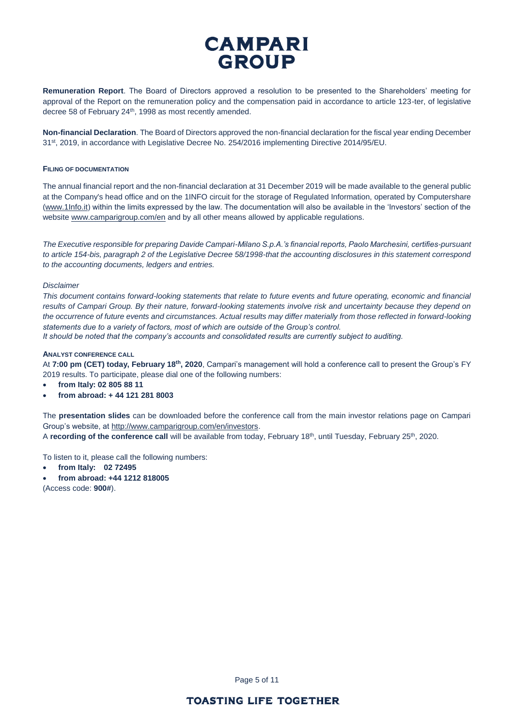**Remuneration Report**. The Board of Directors approved a resolution to be presented to the Shareholders' meeting for approval of the Report on the remuneration policy and the compensation paid in accordance to article 123-ter, of legislative decree 58 of February 24<sup>th</sup>, 1998 as most recently amended.

**Non-financial Declaration**. The Board of Directors approved the non-financial declaration for the fiscal year ending December 31st, 2019, in accordance with Legislative Decree No. 254/2016 implementing Directive 2014/95/EU.

#### **FILING OF DOCUMENTATION**

The annual financial report and the non-financial declaration at 31 December 2019 will be made available to the general public at the Company's head office and on the 1INFO circuit for the storage of Regulated Information, operated by Computershare [\(www.1Info.it\)](http://www.1info.it/) within the limits expressed by the law. The documentation will also be available in the 'Investors' section of the websit[e www.camparigroup.com/en](http://www.camparigroup.com/en) and by all other means allowed by applicable regulations.

*The Executive responsible for preparing Davide Campari-Milano S.p.A.'s financial reports, Paolo Marchesini, certifies-pursuant to article 154-bis, paragraph 2 of the Legislative Decree 58/1998-that the accounting disclosures in this statement correspond to the accounting documents, ledgers and entries.* 

#### *Disclaimer*

*This document contains forward-looking statements that relate to future events and future operating, economic and financial*  results of Campari Group. By their nature, forward-looking statements involve risk and uncertainty because they depend on *the occurrence of future events and circumstances. Actual results may differ materially from those reflected in forward-looking statements due to a variety of factors, most of which are outside of the Group's control.*

*It should be noted that the company's accounts and consolidated results are currently subject to auditing.*

#### **ANALYST CONFERENCE CALL**

At **7:00 pm (CET) today, February 18th, 2020**, Campari's management will hold a conference call to present the Group's FY 2019 results. To participate, please dial one of the following numbers:

- **from Italy: 02 805 88 11**
- **from abroad: + 44 121 281 8003**

The **presentation slides** can be downloaded before the conference call from the main investor relations page on Campari Group's website, at [http://www.camparigroup.com/en/investors.](http://www.camparigroup.com/en/investors)

A recording of the conference call will be available from today, February 18<sup>th</sup>, until Tuesday, February 25<sup>th</sup>, 2020.

To listen to it, please call the following numbers:

- **from Italy: 02 72495**
- **from abroad: +44 1212 818005**

(Access code: **900#**).

Page 5 of 11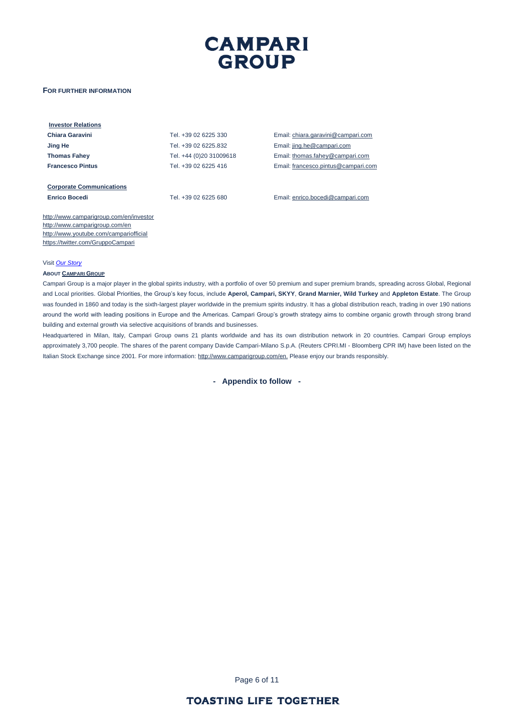#### **FOR FURTHER INFORMATION**

| <b>Investor Relations</b>               |                         |                                     |
|-----------------------------------------|-------------------------|-------------------------------------|
| Chiara Garavini                         | Tel. +39 02 6225 330    | Email: chiara.garavini@campari.com  |
| Jing He                                 | Tel. +39 02 6225.832    | Email: jing.he@campari.com          |
| <b>Thomas Fahey</b>                     | Tel. +44 (0)20 31009618 | Email: thomas.fahey@campari.com     |
| <b>Francesco Pintus</b>                 | Tel. +39 02 6225 416    | Email: francesco.pintus@campari.com |
|                                         |                         |                                     |
| <b>Corporate Communications</b>         |                         |                                     |
| <b>Enrico Bocedi</b>                    | Tel. +39 02 6225 680    | Email: enrico.bocedi@campari.com    |
|                                         |                         |                                     |
| http://www.camparigroup.com/en/investor |                         |                                     |
| http://www.camparigroup.com/en          |                         |                                     |
|                                         |                         |                                     |

http://www.camparigroup.com/en <http://www.youtube.com/campariofficial> <https://twitter.com/GruppoCampari>

#### Visit *[Our Story](https://youtu.be/ilNVsU9Cigo)*

#### **ABOUT C[AMPARI](http://www.camparigroup.com/en/index.shtml) GROUP**

Campari Group is a major player in the global spirits industry, with a portfolio of over 50 premium and super premium brands, spreading across Global, Regional and Local priorities. Global Priorities, the Group's key focus, include **Aperol, Campari, SKYY**, **Grand Marnier, Wild Turkey** and **Appleton Estate**. The Group was founded in 1860 and today is the sixth-largest player worldwide in the premium spirits industry. It has a global distribution reach, trading in over 190 nations around the world with leading positions in Europe and the Americas. Campari Group's growth strategy aims to combine organic growth through strong brand building and external growth via selective acquisitions of brands and businesses.

Headquartered in Milan, Italy, Campari Group owns 21 plants worldwide and has its own distribution network in 20 countries. Campari Group employs approximately 3,700 people. The shares of the parent company Davide Campari-Milano S.p.A. (Reuters CPRI.MI - Bloomberg CPR IM) have been listed on the Italian Stock Exchange since 2001. For more information[: http://www.camparigroup.com/en.](http://www.camparigroup.com/en) Please enjoy our brands responsibly.

**- Appendix to follow -**

Page 6 of 11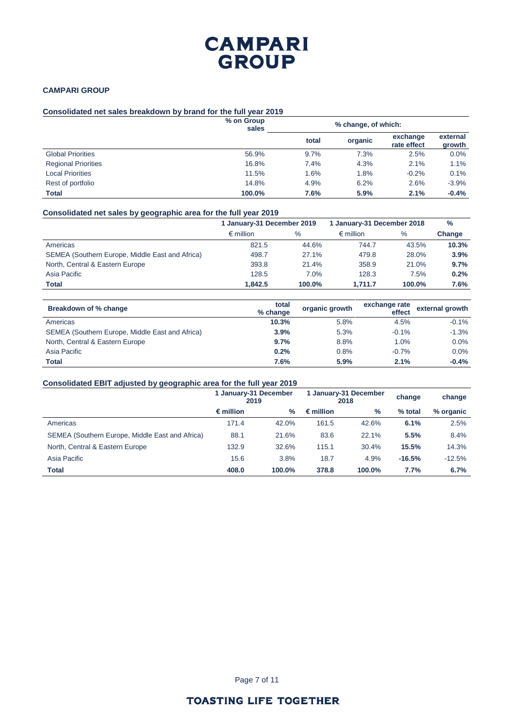### **CAMPARI GROUP**

## **Consolidated net sales breakdown by brand for the full year 2019**

|                            | % on Group<br>sales | % change, of which: |         |                         |                    |
|----------------------------|---------------------|---------------------|---------|-------------------------|--------------------|
|                            |                     | total               | organic | exchange<br>rate effect | external<br>growth |
| <b>Global Priorities</b>   | 56.9%               | 9.7%                | 7.3%    | 2.5%                    | 0.0%               |
| <b>Regional Priorities</b> | 16.8%               | 7.4%                | 4.3%    | 2.1%                    | 1.1%               |
| <b>Local Priorities</b>    | 11.5%               | 1.6%                | 1.8%    | $-0.2%$                 | 0.1%               |
| Rest of portfolio          | 14.8%               | 4.9%                | 6.2%    | 2.6%                    | $-3.9%$            |
| <b>Total</b>               | 100.0%              | 7.6%                | 5.9%    | 2.1%                    | $-0.4%$            |

### **Consolidated net sales by geographic area for the full year 2019**

|                                                 | 1 January-31 December 2019 |        | 1 January-31 December 2018 | $\%$   |        |
|-------------------------------------------------|----------------------------|--------|----------------------------|--------|--------|
|                                                 | $\epsilon$ million         | $\%$   | $\epsilon$ million         | %      | Change |
| Americas                                        | 821.5                      | 44.6%  | 744.7                      | 43.5%  | 10.3%  |
| SEMEA (Southern Europe, Middle East and Africa) | 498.7                      | 27.1%  | 479.8                      | 28.0%  | 3.9%   |
| North, Central & Eastern Europe                 | 393.8                      | 21.4%  | 358.9                      | 21.0%  | 9.7%   |
| Asia Pacific                                    | 128.5                      | 7.0%   | 128.3                      | 7.5%   | 0.2%   |
| <b>Total</b>                                    | 1.842.5                    | 100.0% | 1.711.7                    | 100.0% | 7.6%   |

| Breakdown of % change                           | total<br>% change | organic growth | exchange rate<br>effect | external growth |
|-------------------------------------------------|-------------------|----------------|-------------------------|-----------------|
| Americas                                        | 10.3%             | 5.8%           | 4.5%                    | $-0.1%$         |
| SEMEA (Southern Europe, Middle East and Africa) | 3.9%              | 5.3%           | $-0.1%$                 | $-1.3%$         |
| North, Central & Eastern Europe                 | 9.7%              | 8.8%           | 1.0%                    | 0.0%            |
| Asia Pacific                                    | 0.2%              | 0.8%           | $-0.7%$                 | 0.0%            |
| <b>Total</b>                                    | 7.6%              | 5.9%           | 2.1%                    | $-0.4%$         |

### **Consolidated EBIT adjusted by geographic area for the full year 2019**

| - -<br>$\sim$                                   | 1 January-31 December<br>2019 |               | 1 January-31 December<br>2018 |        | change   | change    |
|-------------------------------------------------|-------------------------------|---------------|-------------------------------|--------|----------|-----------|
|                                                 | $\epsilon$ million            | $\frac{9}{6}$ | $\epsilon$ million            | $\%$   | % total  | % organic |
| Americas                                        | 171.4                         | 42.0%         | 161.5                         | 42.6%  | 6.1%     | 2.5%      |
| SEMEA (Southern Europe, Middle East and Africa) | 88.1                          | 21.6%         | 83.6                          | 22.1%  | 5.5%     | 8.4%      |
| North, Central & Eastern Europe                 | 132.9                         | 32.6%         | 115.1                         | 30.4%  | 15.5%    | 14.3%     |
| Asia Pacific                                    | 15.6                          | 3.8%          | 18.7                          | 4.9%   | $-16.5%$ | $-12.5%$  |
| <b>Total</b>                                    | 408.0                         | 100.0%        | 378.8                         | 100.0% | 7.7%     | 6.7%      |

Page 7 of 11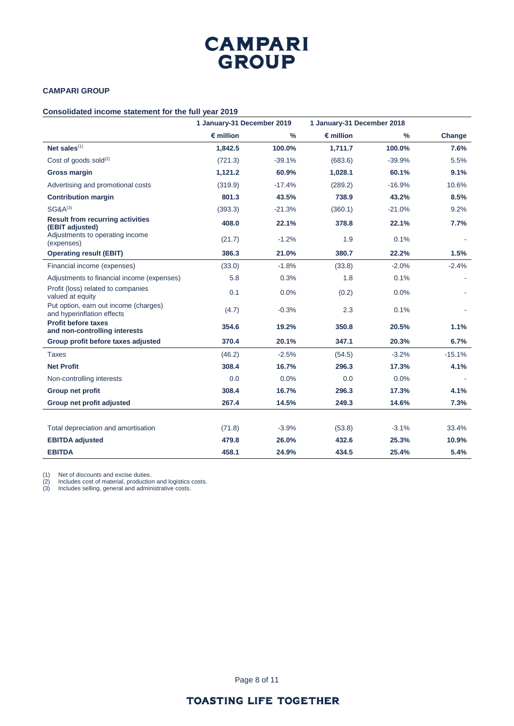## **CAMPARI GROUP**

## **Consolidated income statement for the full year 2019**

|                                                                     | 1 January-31 December 2019 |               | 1 January-31 December 2018 |               |          |
|---------------------------------------------------------------------|----------------------------|---------------|----------------------------|---------------|----------|
|                                                                     | $\epsilon$ million         | $\frac{9}{6}$ | $\epsilon$ million         | $\frac{0}{0}$ | Change   |
| Net sales <sup>(1)</sup>                                            | 1,842.5                    | 100.0%        | 1,711.7                    | 100.0%        | 7.6%     |
| Cost of goods sold $(2)$                                            | (721.3)                    | $-39.1%$      | (683.6)                    | $-39.9%$      | 5.5%     |
| <b>Gross margin</b>                                                 | 1,121.2                    | 60.9%         | 1,028.1                    | 60.1%         | 9.1%     |
| Advertising and promotional costs                                   | (319.9)                    | $-17.4%$      | (289.2)                    | $-16.9%$      | 10.6%    |
| <b>Contribution margin</b>                                          | 801.3                      | 43.5%         | 738.9                      | 43.2%         | 8.5%     |
| $SG&A^{(3)}$                                                        | (393.3)                    | $-21.3%$      | (360.1)                    | $-21.0%$      | 9.2%     |
| <b>Result from recurring activities</b><br>(EBIT adjusted)          | 408.0                      | 22.1%         | 378.8                      | 22.1%         | 7.7%     |
| Adjustments to operating income<br>(expenses)                       | (21.7)                     | $-1.2%$       | 1.9                        | 0.1%          |          |
| <b>Operating result (EBIT)</b>                                      | 386.3                      | 21.0%         | 380.7                      | 22.2%         | 1.5%     |
| Financial income (expenses)                                         | (33.0)                     | $-1.8%$       | (33.8)                     | $-2.0%$       | $-2.4%$  |
| Adjustments to financial income (expenses)                          | 5.8                        | 0.3%          | 1.8                        | 0.1%          |          |
| Profit (loss) related to companies<br>valued at equity              | 0.1                        | 0.0%          | (0.2)                      | 0.0%          |          |
| Put option, earn out income (charges)<br>and hyperinflation effects | (4.7)                      | $-0.3%$       | 2.3                        | 0.1%          |          |
| <b>Profit before taxes</b><br>and non-controlling interests         | 354.6                      | 19.2%         | 350.8                      | 20.5%         | 1.1%     |
| Group profit before taxes adjusted                                  | 370.4                      | 20.1%         | 347.1                      | 20.3%         | 6.7%     |
| <b>Taxes</b>                                                        | (46.2)                     | $-2.5%$       | (54.5)                     | $-3.2%$       | $-15.1%$ |
| <b>Net Profit</b>                                                   | 308.4                      | 16.7%         | 296.3                      | 17.3%         | 4.1%     |
| Non-controlling interests                                           | 0.0                        | 0.0%          | 0.0                        | 0.0%          |          |
| Group net profit                                                    | 308.4                      | 16.7%         | 296.3                      | 17.3%         | 4.1%     |
| Group net profit adjusted                                           | 267.4                      | 14.5%         | 249.3                      | 14.6%         | 7.3%     |
|                                                                     |                            |               |                            |               |          |
| Total depreciation and amortisation                                 | (71.8)                     | $-3.9%$       | (53.8)                     | $-3.1%$       | 33.4%    |
| <b>EBITDA</b> adjusted                                              | 479.8                      | 26.0%         | 432.6                      | 25.3%         | 10.9%    |
| <b>EBITDA</b>                                                       | 458.1                      | 24.9%         | 434.5                      | 25.4%         | 5.4%     |

(1) Net of discounts and excise duties.

(2) Includes cost of material, production and logistics costs.

(3) Includes selling, general and administrative costs.

Page 8 of 11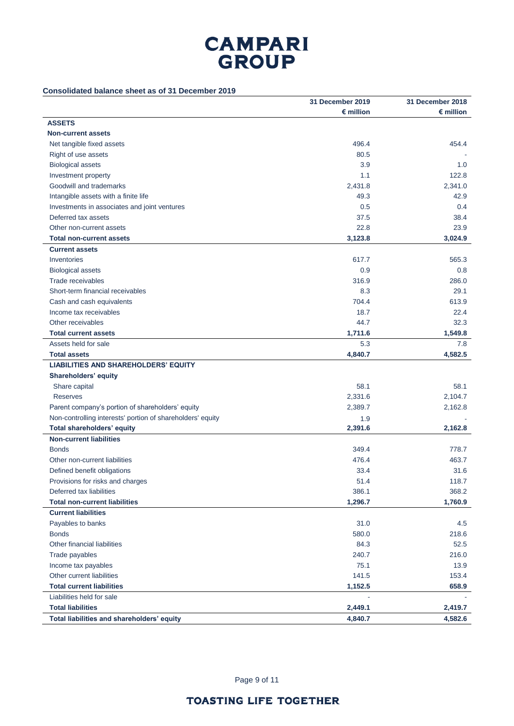## **Consolidated balance sheet as of 31 December 2019**

|                                                            | 31 December 2019   | 31 December 2018   |
|------------------------------------------------------------|--------------------|--------------------|
|                                                            | $\epsilon$ million | $\epsilon$ million |
| <b>ASSETS</b>                                              |                    |                    |
| <b>Non-current assets</b>                                  |                    |                    |
| Net tangible fixed assets                                  | 496.4              | 454.4              |
| Right of use assets                                        | 80.5               |                    |
| <b>Biological assets</b>                                   | 3.9                | 1.0                |
| Investment property                                        | 1.1                | 122.8              |
| Goodwill and trademarks                                    | 2,431.8            | 2,341.0            |
| Intangible assets with a finite life                       | 49.3               | 42.9               |
| Investments in associates and joint ventures               | 0.5                | 0.4                |
| Deferred tax assets                                        | 37.5               | 38.4               |
| Other non-current assets                                   | 22.8               | 23.9               |
| <b>Total non-current assets</b>                            | 3,123.8            | 3,024.9            |
| <b>Current assets</b>                                      |                    |                    |
| Inventories                                                | 617.7              | 565.3              |
| <b>Biological assets</b>                                   | 0.9                | 0.8                |
| Trade receivables                                          | 316.9              | 286.0              |
| Short-term financial receivables                           | 8.3                | 29.1               |
| Cash and cash equivalents                                  | 704.4              | 613.9              |
| Income tax receivables                                     | 18.7               | 22.4               |
| Other receivables                                          | 44.7               | 32.3               |
| <b>Total current assets</b>                                | 1,711.6            | 1,549.8            |
| Assets held for sale                                       | 5.3                | 7.8                |
| <b>Total assets</b>                                        | 4,840.7            | 4,582.5            |
| <b>LIABILITIES AND SHAREHOLDERS' EQUITY</b>                |                    |                    |
| Shareholders' equity                                       |                    |                    |
| Share capital                                              | 58.1               | 58.1               |
| <b>Reserves</b>                                            | 2,331.6            | 2,104.7            |
| Parent company's portion of shareholders' equity           | 2,389.7            | 2,162.8            |
| Non-controlling interests' portion of shareholders' equity | 1.9                |                    |
| <b>Total shareholders' equity</b>                          | 2,391.6            | 2,162.8            |
| <b>Non-current liabilities</b>                             |                    |                    |
| <b>Bonds</b>                                               | 349.4              | 778.7              |
| Other non-current liabilities                              | 476.4              | 463.7              |
| Defined benefit obligations                                | 33.4               | 31.6               |
| Provisions for risks and charges                           | 51.4               | 118.7              |
| Deferred tax liabilities                                   | 386.1              | 368.2              |
| <b>Total non-current liabilities</b>                       | 1,296.7            | 1,760.9            |
| <b>Current liabilities</b>                                 |                    |                    |
| Payables to banks                                          | 31.0               | 4.5                |
| <b>Bonds</b>                                               | 580.0              | 218.6              |
| Other financial liabilities                                | 84.3               | 52.5               |
| Trade payables                                             | 240.7              | 216.0              |
| Income tax payables                                        | 75.1               | 13.9               |
| Other current liabilities                                  | 141.5              | 153.4              |
| <b>Total current liabilities</b>                           | 1,152.5            | 658.9              |
| Liabilities held for sale                                  |                    |                    |
| <b>Total liabilities</b>                                   | 2,449.1            | 2,419.7            |
| Total liabilities and shareholders' equity                 | 4,840.7            | 4,582.6            |

Page 9 of 11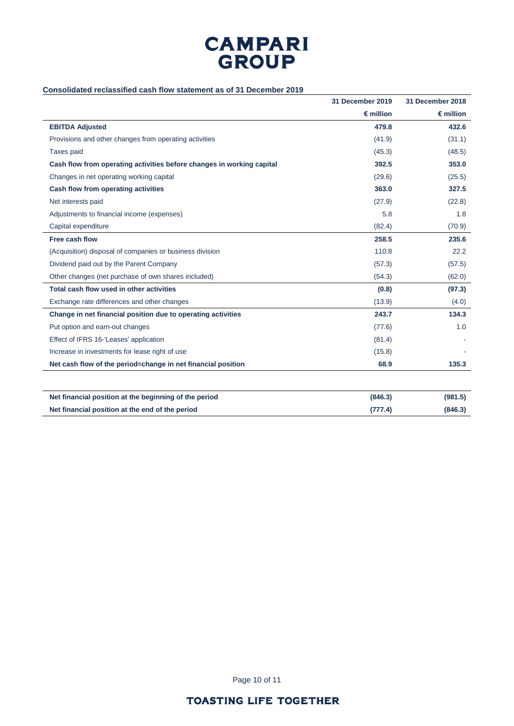## **Consolidated reclassified cash flow statement as of 31 December 2019**

|                                                                       | 31 December 2019   | 31 December 2018   |
|-----------------------------------------------------------------------|--------------------|--------------------|
|                                                                       | $\epsilon$ million | $\epsilon$ million |
| <b>EBITDA Adjusted</b>                                                | 479.8              | 432.6              |
| Provisions and other changes from operating activities                | (41.9)             | (31.1)             |
| Taxes paid                                                            | (45.3)             | (48.5)             |
| Cash flow from operating activities before changes in working capital | 392.5              | 353.0              |
| Changes in net operating working capital                              | (29.6)             | (25.5)             |
| Cash flow from operating activities                                   | 363.0              | 327.5              |
| Net interests paid                                                    | (27.9)             | (22.8)             |
| Adjustments to financial income (expenses)                            | 5.8                | 1.8                |
| Capital expenditure                                                   | (82.4)             | (70.9)             |
| Free cash flow                                                        | 258.5              | 235.6              |
| (Acquisition) disposal of companies or business division              | 110.8              | 22.2               |
| Dividend paid out by the Parent Company                               | (57.3)             | (57.5)             |
| Other changes (net purchase of own shares included)                   | (54.3)             | (62.0)             |
| Total cash flow used in other activities                              | (0.8)              | (97.3)             |
| Exchange rate differences and other changes                           | (13.9)             | (4.0)              |
| Change in net financial position due to operating activities          | 243.7              | 134.3              |
| Put option and earn-out changes                                       | (77.6)             | 1.0                |
| Effect of IFRS 16-'Leases' application                                | (81.4)             |                    |
| Increase in investments for lease right of use                        | (15.8)             |                    |
| Net cash flow of the period=change in net financial position          | 68.9               | 135.3              |
| Net financial position at the beginning of the period                 | (846.3)            | (981.5)            |
| Net financial position at the end of the period                       | (777.4)            | (846.3)            |

Page 10 of 11